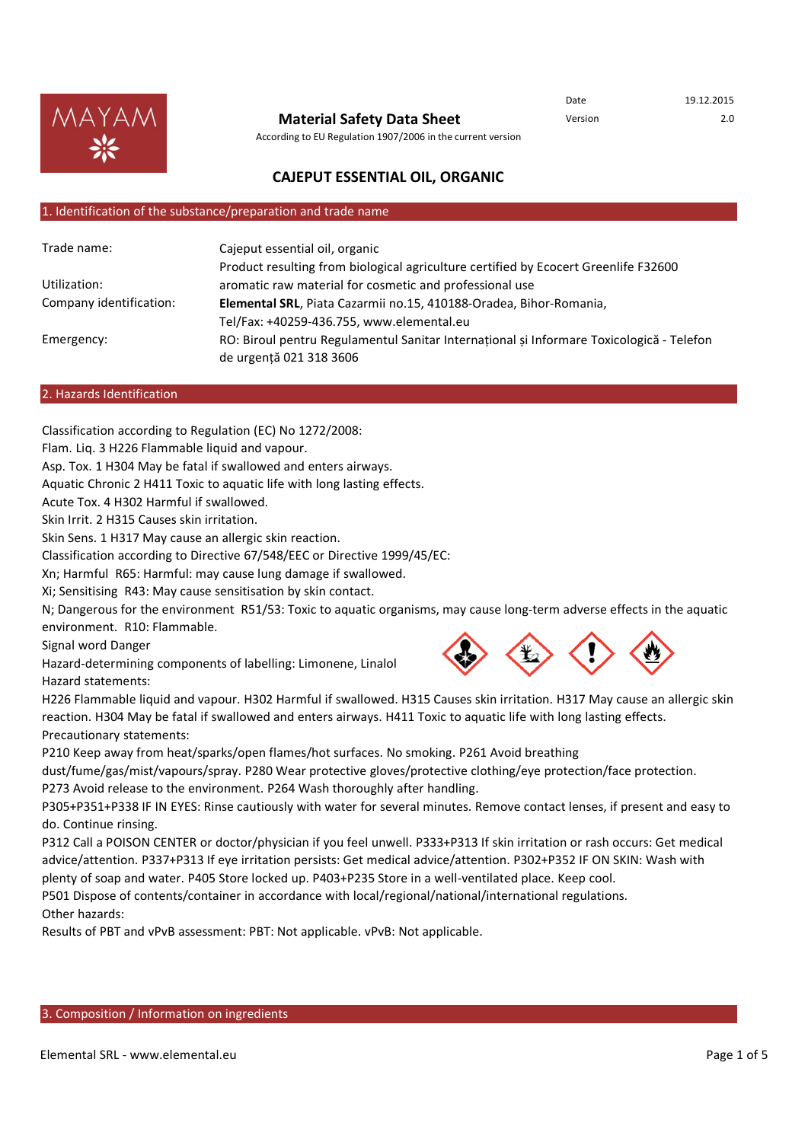

#### **Material Safety Data Sheet**

Date 19.12.2015 Version 2.0

According to EU Regulation 1907/2006 in the current version

## **CAJEPUT ESSENTIAL OIL, ORGANIC**

#### 1. Identification of the substance/preparation and trade name

| Trade name:             | Cajeput essential oil, organic<br>Product resulting from biological agriculture certified by Ecocert Greenlife F32600 |
|-------------------------|-----------------------------------------------------------------------------------------------------------------------|
| Utilization:            | aromatic raw material for cosmetic and professional use                                                               |
| Company identification: | Elemental SRL, Piata Cazarmii no.15, 410188-Oradea, Bihor-Romania,                                                    |
|                         | Tel/Fax: +40259-436.755, www.elemental.eu                                                                             |
| Emergency:              | RO: Biroul pentru Regulamentul Sanitar Internațional și Informare Toxicologică - Telefon<br>de urgență 021 318 3606   |

#### 2. Hazards Identification

Classification according to Regulation (EC) No 1272/2008:

Flam. Liq. 3 H226 Flammable liquid and vapour.

Asp. Tox. 1 H304 May be fatal if swallowed and enters airways.

Aquatic Chronic 2 H411 Toxic to aquatic life with long lasting effects.

Acute Tox. 4 H302 Harmful if swallowed.

Skin Irrit. 2 H315 Causes skin irritation.

Skin Sens. 1 H317 May cause an allergic skin reaction.

Classification according to Directive 67/548/EEC or Directive 1999/45/EC:

Xn; Harmful R65: Harmful: may cause lung damage if swallowed.

Xi; Sensitising R43: May cause sensitisation by skin contact.

N; Dangerous for the environment R51/53: Toxic to aquatic organisms, may cause long-term adverse effects in the aquatic environment. R10: Flammable.

Signal word Danger

Hazard-determining components of labelling: Limonene, Linalol Hazard statements:



H226 Flammable liquid and vapour. H302 Harmful if swallowed. H315 Causes skin irritation. H317 May cause an allergic skin reaction. H304 May be fatal if swallowed and enters airways. H411 Toxic to aquatic life with long lasting effects. Precautionary statements:

P210 Keep away from heat/sparks/open flames/hot surfaces. No smoking. P261 Avoid breathing

dust/fume/gas/mist/vapours/spray. P280 Wear protective gloves/protective clothing/eye protection/face protection. P273 Avoid release to the environment. P264 Wash thoroughly after handling.

P305+P351+P338 IF IN EYES: Rinse cautiously with water for several minutes. Remove contact lenses, if present and easy to do. Continue rinsing.

P312 Call a POISON CENTER or doctor/physician if you feel unwell. P333+P313 If skin irritation or rash occurs: Get medical advice/attention. P337+P313 If eye irritation persists: Get medical advice/attention. P302+P352 IF ON SKIN: Wash with plenty of soap and water. P405 Store locked up. P403+P235 Store in a well-ventilated place. Keep cool.

P501 Dispose of contents/container in accordance with local/regional/national/international regulations.

Other hazards:

Results of PBT and vPvB assessment: PBT: Not applicable. vPvB: Not applicable.

### 3. Composition / Information on ingredients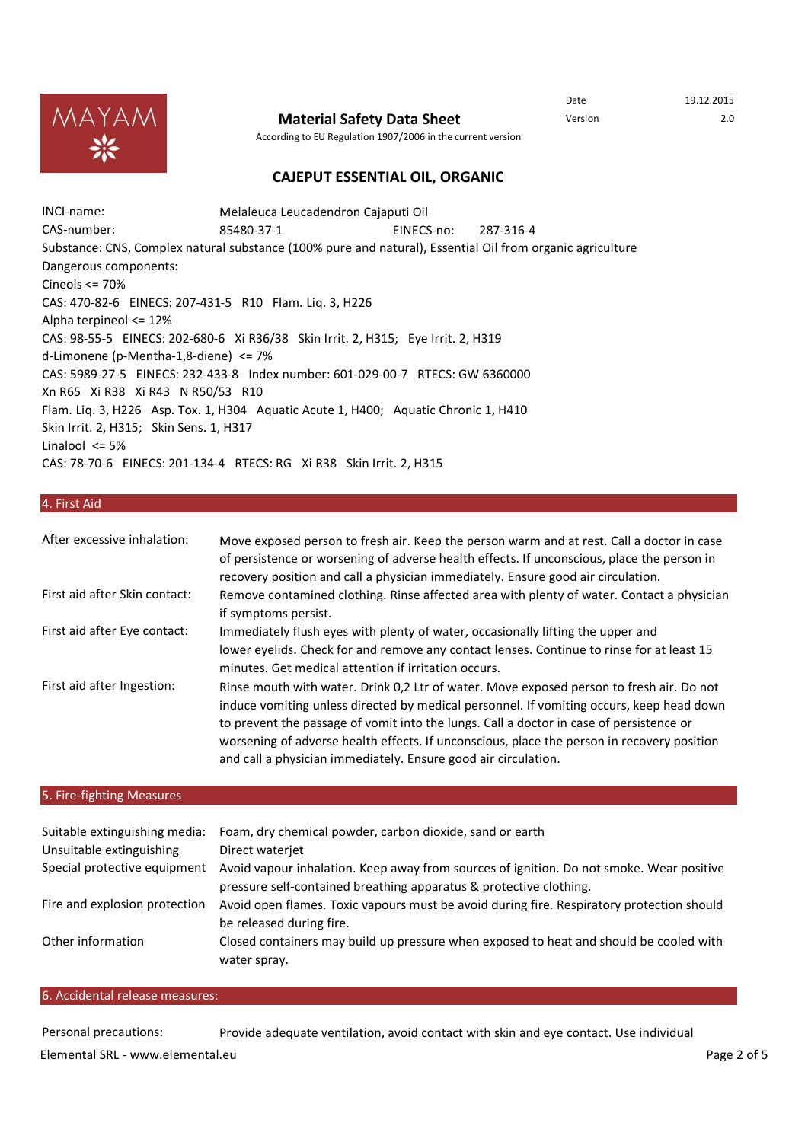

**Material Safety Data Sheet** Version 2.0

Date 19.12.2015

According to EU Regulation 1907/2006 in the current version

## **CAJEPUT ESSENTIAL OIL, ORGANIC**

INCI-name: CAS-number: 85480-37-1 EINECS-no: 287-316-4 Dangerous components: Melaleuca Leucadendron Cajaputi Oil Substance: CNS, Complex natural substance (100% pure and natural), Essential Oil from organic agriculture Cineols <= 70% CAS: 470-82-6 EINECS: 207-431-5 R10 Flam. Liq. 3, H226 Alpha terpineol <= 12% CAS: 98-55-5 EINECS: 202-680-6 Xi R36/38 Skin Irrit. 2, H315; Eye Irrit. 2, H319 d-Limonene (p-Mentha-1,8-diene) <= 7% CAS: 5989-27-5 EINECS: 232-433-8 Index number: 601-029-00-7 RTECS: GW 6360000 Xn R65 Xi R38 Xi R43 N R50/53 R10 Flam. Liq. 3, H226 Asp. Tox. 1, H304 Aquatic Acute 1, H400; Aquatic Chronic 1, H410 Skin Irrit. 2, H315; Skin Sens. 1, H317 Linalool  $\leq$  5% CAS: 78-70-6 EINECS: 201-134-4 RTECS: RG Xi R38 Skin Irrit. 2, H315

#### 4. First Aid

| After excessive inhalation:   | Move exposed person to fresh air. Keep the person warm and at rest. Call a doctor in case<br>of persistence or worsening of adverse health effects. If unconscious, place the person in<br>recovery position and call a physician immediately. Ensure good air circulation.                                                                                                                                                                     |
|-------------------------------|-------------------------------------------------------------------------------------------------------------------------------------------------------------------------------------------------------------------------------------------------------------------------------------------------------------------------------------------------------------------------------------------------------------------------------------------------|
| First aid after Skin contact: | Remove contamined clothing. Rinse affected area with plenty of water. Contact a physician<br>if symptoms persist.                                                                                                                                                                                                                                                                                                                               |
| First aid after Eye contact:  | Immediately flush eyes with plenty of water, occasionally lifting the upper and<br>lower eyelids. Check for and remove any contact lenses. Continue to rinse for at least 15<br>minutes. Get medical attention if irritation occurs.                                                                                                                                                                                                            |
| First aid after Ingestion:    | Rinse mouth with water. Drink 0,2 Ltr of water. Move exposed person to fresh air. Do not<br>induce vomiting unless directed by medical personnel. If vomiting occurs, keep head down<br>to prevent the passage of vomit into the lungs. Call a doctor in case of persistence or<br>worsening of adverse health effects. If unconscious, place the person in recovery position<br>and call a physician immediately. Ensure good air circulation. |

### 5. Fire-fighting Measures

| Suitable extinguishing media:<br>Unsuitable extinguishing | Foam, dry chemical powder, carbon dioxide, sand or earth<br>Direct waterjet                                                                                    |
|-----------------------------------------------------------|----------------------------------------------------------------------------------------------------------------------------------------------------------------|
| Special protective equipment                              | Avoid vapour inhalation. Keep away from sources of ignition. Do not smoke. Wear positive<br>pressure self-contained breathing apparatus & protective clothing. |
| Fire and explosion protection                             | Avoid open flames. Toxic vapours must be avoid during fire. Respiratory protection should<br>be released during fire.                                          |
| Other information                                         | Closed containers may build up pressure when exposed to heat and should be cooled with<br>water spray.                                                         |

#### 6. Accidental release measures:

Personal precautions: Provide adequate ventilation, avoid contact with skin and eye contact. Use individual Elemental SRL - www.elemental.eu Page 2 of 5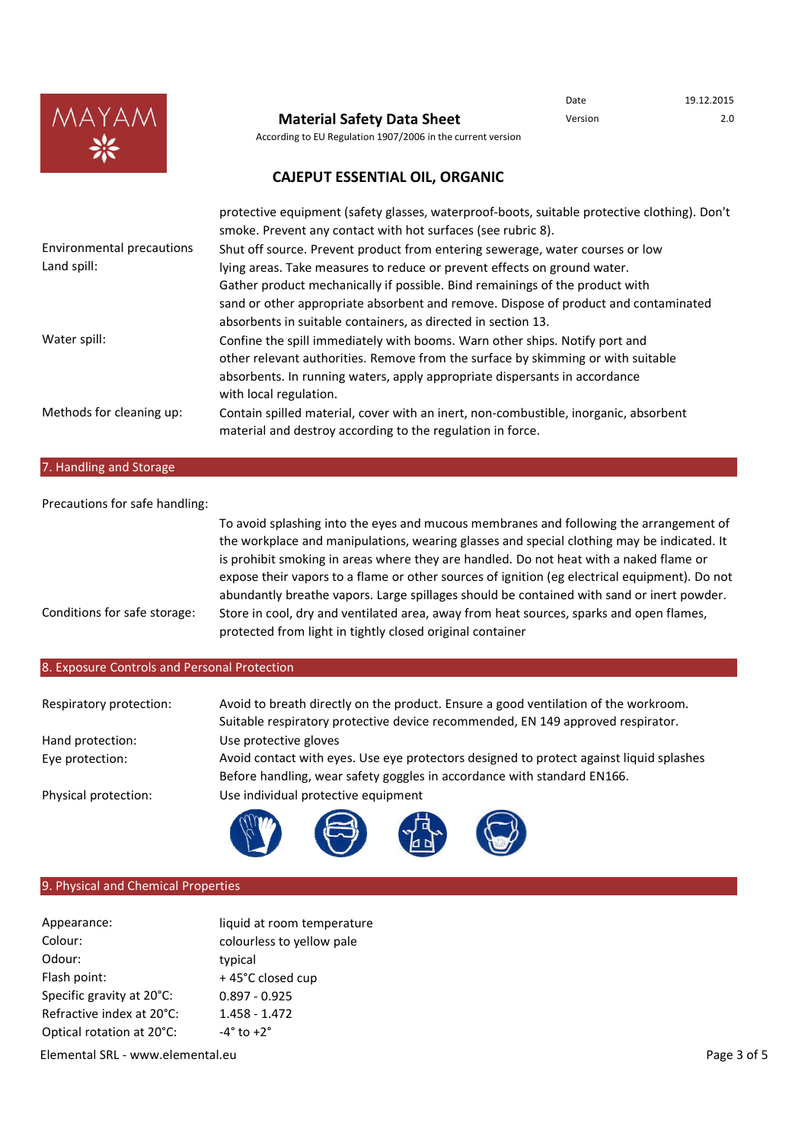

## **Material Safety Data Sheet** Version Version 2.0

Date 19.12.2015

According to EU Regulation 1907/2006 in the current version

## **CAJEPUT ESSENTIAL OIL, ORGANIC**

|                                  | protective equipment (safety glasses, waterproof-boots, suitable protective clothing). Don't<br>smoke. Prevent any contact with hot surfaces (see rubric 8). |
|----------------------------------|--------------------------------------------------------------------------------------------------------------------------------------------------------------|
| <b>Environmental precautions</b> | Shut off source. Prevent product from entering sewerage, water courses or low                                                                                |
| Land spill:                      | lying areas. Take measures to reduce or prevent effects on ground water.                                                                                     |
|                                  | Gather product mechanically if possible. Bind remainings of the product with                                                                                 |
|                                  | sand or other appropriate absorbent and remove. Dispose of product and contaminated                                                                          |
|                                  | absorbents in suitable containers, as directed in section 13.                                                                                                |
| Water spill:                     | Confine the spill immediately with booms. Warn other ships. Notify port and                                                                                  |
|                                  | other relevant authorities. Remove from the surface by skimming or with suitable                                                                             |
|                                  | absorbents. In running waters, apply appropriate dispersants in accordance<br>with local regulation.                                                         |
| Methods for cleaning up:         | Contain spilled material, cover with an inert, non-combustible, inorganic, absorbent<br>material and destroy according to the regulation in force.           |

## 7. Handling and Storage

| To avoid splashing into the eyes and mucous membranes and following the arrangement of                                                                                                     |
|--------------------------------------------------------------------------------------------------------------------------------------------------------------------------------------------|
| the workplace and manipulations, wearing glasses and special clothing may be indicated. It                                                                                                 |
| is prohibit smoking in areas where they are handled. Do not heat with a naked flame or                                                                                                     |
| expose their vapors to a flame or other sources of ignition (eg electrical equipment). Do not<br>abundantly breathe vapors. Large spillages should be contained with sand or inert powder. |
| Store in cool, dry and ventilated area, away from heat sources, sparks and open flames,<br>protected from light in tightly closed original container                                       |
|                                                                                                                                                                                            |

## 8. Exposure Controls and Personal Protection

| Respiratory protection: | Avoid to breath directly on the product. Ensure a good ventilation of the workroom.                                                                                |  |  |
|-------------------------|--------------------------------------------------------------------------------------------------------------------------------------------------------------------|--|--|
|                         | Suitable respiratory protective device recommended, EN 149 approved respirator.                                                                                    |  |  |
| Hand protection:        | Use protective gloves                                                                                                                                              |  |  |
| Eye protection:         | Avoid contact with eyes. Use eye protectors designed to protect against liquid splashes<br>Before handling, wear safety goggles in accordance with standard EN166. |  |  |
|                         |                                                                                                                                                                    |  |  |
| Physical protection:    | Use individual protective equipment                                                                                                                                |  |  |
|                         | offma                                                                                                                                                              |  |  |

世

 $\bigotimes$ 

N S

## 9. Physical and Chemical Properties

| Appearance:               | liquid at room temperature |
|---------------------------|----------------------------|
| Colour:                   | colourless to yellow pale  |
| Odour:                    | typical                    |
| Flash point:              | +45°C closed cup           |
| Specific gravity at 20°C: | $0.897 - 0.925$            |
| Refractive index at 20°C: | $1.458 - 1.472$            |
| Optical rotation at 20°C: | $-4^\circ$ to $+2^\circ$   |

Elemental SRL - www.elemental.eu entry and the state of 5 contract the Page 3 of 5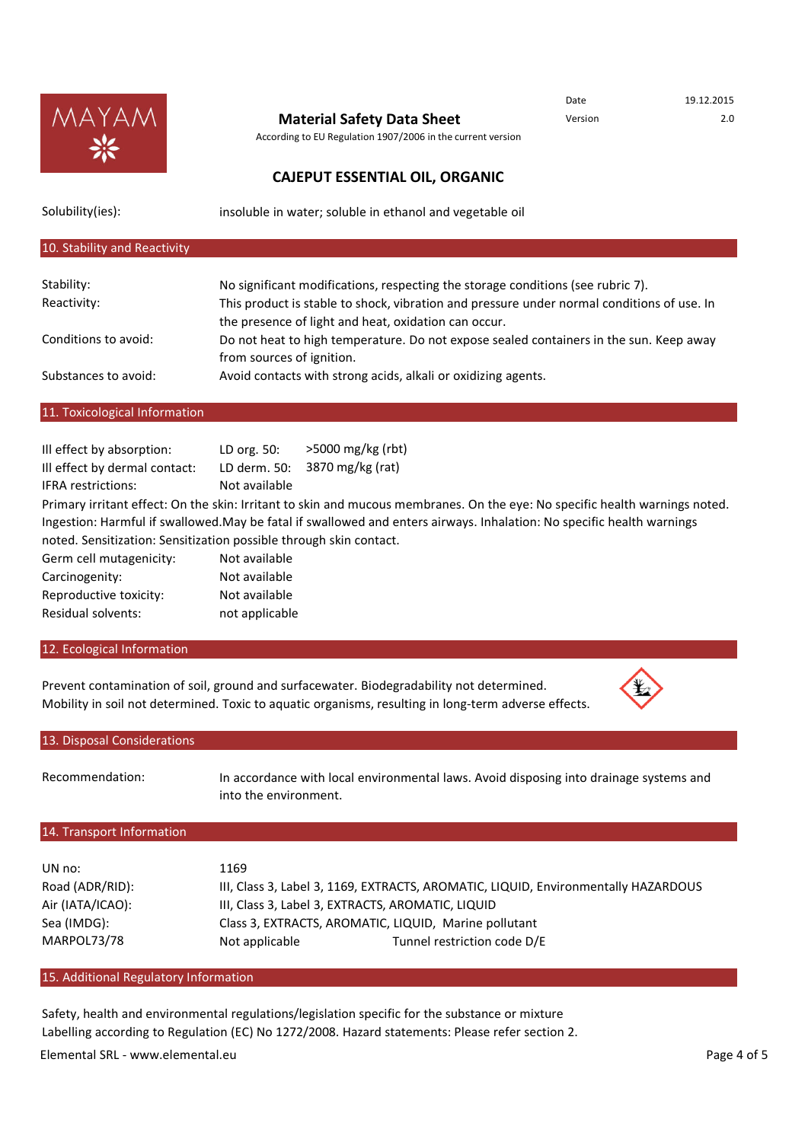

## **Material Safety Data Sheet** Version 2.0

According to EU Regulation 1907/2006 in the current version

## **CAJEPUT ESSENTIAL OIL, ORGANIC**

Solubility(ies):

insoluble in water; soluble in ethanol and vegetable oil

#### Stability: Reactivity: Conditions to avoid: Substances to avoid: No significant modifications, respecting the storage conditions (see rubric 7). 10. Stability and Reactivity Avoid contacts with strong acids, alkali or oxidizing agents. This product is stable to shock, vibration and pressure under normal conditions of use. In the presence of light and heat, oxidation can occur. Do not heat to high temperature. Do not expose sealed containers in the sun. Keep away from sources of ignition.

### 11. Toxicological Information

| Ill effect by absorption:                                          | LD org. 50:    | $>5000$ mg/kg (rbt)                                                                                                         |
|--------------------------------------------------------------------|----------------|-----------------------------------------------------------------------------------------------------------------------------|
| Ill effect by dermal contact:                                      | LD derm. 50:   | 3870 mg/kg (rat)                                                                                                            |
| <b>IFRA</b> restrictions:                                          | Not available  |                                                                                                                             |
|                                                                    |                | Primary irritant effect: On the skin: Irritant to skin and mucous membranes. On the eye: No specific health warnings noted. |
|                                                                    |                | Ingestion: Harmful if swallowed.May be fatal if swallowed and enters airways. Inhalation: No specific health warnings       |
| noted. Sensitization: Sensitization possible through skin contact. |                |                                                                                                                             |
| Germ cell mutagenicity:                                            | Not available  |                                                                                                                             |
| Carcinogenity:                                                     | Not available  |                                                                                                                             |
| Reproductive toxicity:                                             | Not available  |                                                                                                                             |
| Residual solvents:                                                 | not applicable |                                                                                                                             |
|                                                                    |                |                                                                                                                             |

#### 12. Ecological Information

Prevent contamination of soil, ground and surfacewater. Biodegradability not determined. Mobility in soil not determined. Toxic to aquatic organisms, resulting in long-term adverse effects.



Date 19.12.2015

| 13. Disposal Considerations |                       |                                                                                        |  |  |
|-----------------------------|-----------------------|----------------------------------------------------------------------------------------|--|--|
| Recommendation:             | into the environment. | In accordance with local environmental laws. Avoid disposing into drainage systems and |  |  |
| 14. Transport Information   |                       |                                                                                        |  |  |
|                             |                       |                                                                                        |  |  |
| UN no:                      | 1169                  |                                                                                        |  |  |
| Road (ADR/RID):             |                       | III, Class 3, Label 3, 1169, EXTRACTS, AROMATIC, LIQUID, Environmentally HAZARDOUS     |  |  |
| Air (IATA/ICAO):            |                       | III, Class 3, Label 3, EXTRACTS, AROMATIC, LIQUID                                      |  |  |
| Sea (IMDG):                 |                       | Class 3, EXTRACTS, AROMATIC, LIQUID, Marine pollutant                                  |  |  |
| MARPOL73/78                 | Not applicable        | Tunnel restriction code D/E                                                            |  |  |

#### 15. Additional Regulatory Information

Safety, health and environmental regulations/legislation specific for the substance or mixture Labelling according to Regulation (EC) No 1272/2008. Hazard statements: Please refer section 2. Elemental SRL - www.elemental.eu entitled and the state of 5 and 2 of 5 and 2 of 5 and 2 of 5 and 2 of 5 and 2 of 5 and 2 of 5 and 2 of 5 and 2 of 5 and 2 of 5 and 2 of 5 and 2 of 5 and 2 of 5 and 2 of 5 and 2 of 5 and 2 o